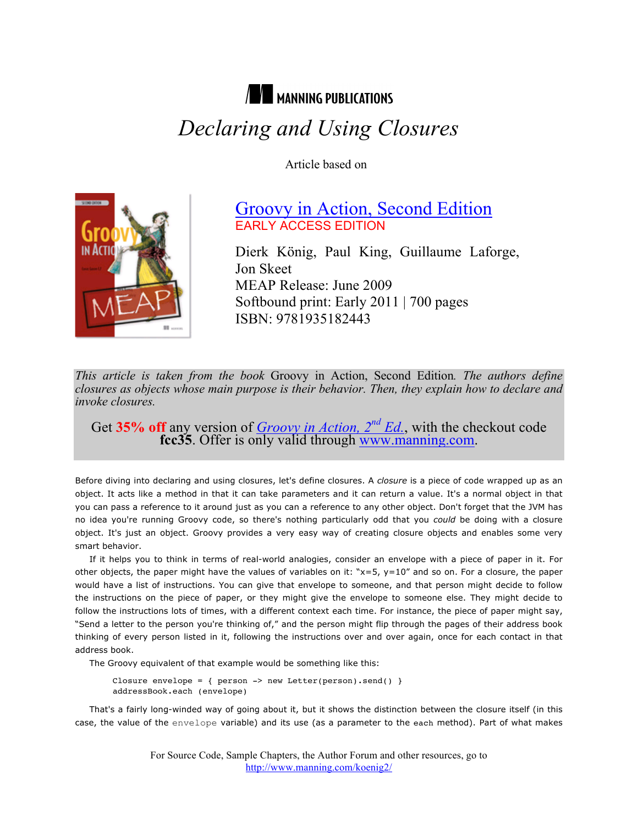# **NEW MANNING PUBLICATIONS**  *Declaring and Using Closures*

Article based on



## Groovy in Action, Second Edition EARLY ACCESS EDITION

Dierk König, Paul King, Guillaume Laforge, Jon Skeet MEAP Release: June 2009 Softbound print: Early 2011 | 700 pages ISBN: 9781935182443

*This article is taken from the book* Groovy in Action, Second Edition*. The authors define closures as objects whose main purpose is their behavior. Then, they explain how to declare and invoke closures.*

Get 35% off any version of *Groovy in Action, 2<sup>nd</sup> Ed.*, with the checkout code **fcc35**. Offer is only valid through www.manning.com.

Before diving into declaring and using closures, let's define closures. A *closure* is a piece of code wrapped up as an object. It acts like a method in that it can take parameters and it can return a value. It's a normal object in that you can pass a reference to it around just as you can a reference to any other object. Don't forget that the JVM has no idea you're running Groovy code, so there's nothing particularly odd that you *could* be doing with a closure object. It's just an object. Groovy provides a very easy way of creating closure objects and enables some very smart behavior.

If it helps you to think in terms of real-world analogies, consider an envelope with a piece of paper in it. For other objects, the paper might have the values of variables on it: " $x=5$ ,  $y=10$ " and so on. For a closure, the paper would have a list of instructions. You can give that envelope to someone, and that person might decide to follow the instructions on the piece of paper, or they might give the envelope to someone else. They might decide to follow the instructions lots of times, with a different context each time. For instance, the piece of paper might say, "Send a letter to the person you're thinking of," and the person might flip through the pages of their address book thinking of every person listed in it, following the instructions over and over again, once for each contact in that address book.

The Groovy equivalent of that example would be something like this:

Closure envelope = { person -> new Letter(person).send() } addressBook.each (envelope)

That's a fairly long-winded way of going about it, but it shows the distinction between the closure itself (in this case, the value of the envelope variable) and its use (as a parameter to the each method). Part of what makes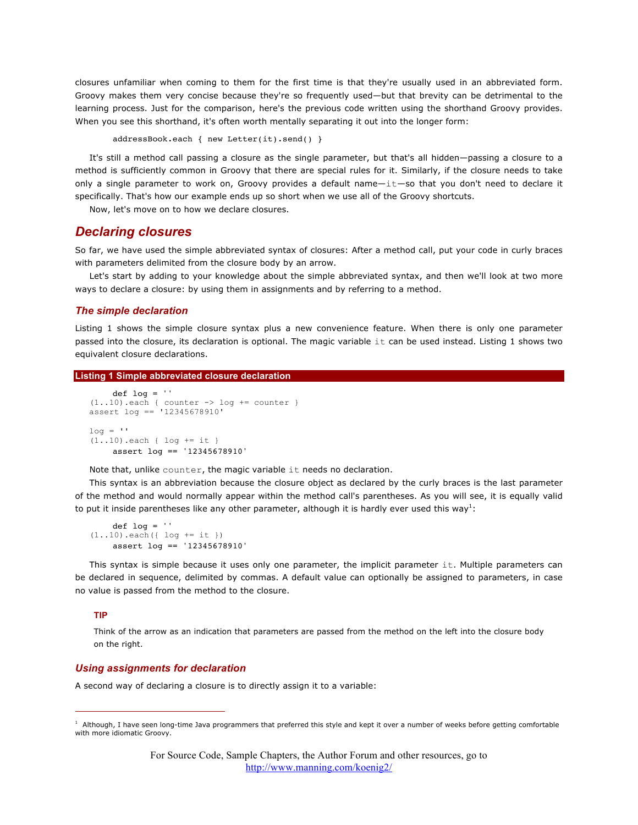closures unfamiliar when coming to them for the first time is that they're usually used in an abbreviated form. Groovy makes them very concise because they're so frequently used—but that brevity can be detrimental to the learning process. Just for the comparison, here's the previous code written using the shorthand Groovy provides. When you see this shorthand, it's often worth mentally separating it out into the longer form:

addressBook.each { new Letter(it).send() }

It's still a method call passing a closure as the single parameter, but that's all hidden—passing a closure to a method is sufficiently common in Groovy that there are special rules for it. Similarly, if the closure needs to take only a single parameter to work on, Groovy provides a default name—it—so that you don't need to declare it specifically. That's how our example ends up so short when we use all of the Groovy shortcuts.

Now, let's move on to how we declare closures.

### *Declaring closures*

So far, we have used the simple abbreviated syntax of closures: After a method call, put your code in curly braces with parameters delimited from the closure body by an arrow.

Let's start by adding to your knowledge about the simple abbreviated syntax, and then we'll look at two more ways to declare a closure: by using them in assignments and by referring to a method.

### *The simple declaration*

Listing 1 shows the simple closure syntax plus a new convenience feature. When there is only one parameter passed into the closure, its declaration is optional. The magic variable it can be used instead. Listing 1 shows two equivalent closure declarations.

#### **Listing 1 Simple abbreviated closure declaration**

```
def log =''
(1..10).each { counter \rightarrow log \pm counter }
assert log == '12345678910'
log = 11(1..10).each { log += it }
     assert log == '12345678910'
```
Note that, unlike counter, the magic variable it needs no declaration.

This syntax is an abbreviation because the closure object as declared by the curly braces is the last parameter of the method and would normally appear within the method call's parentheses. As you will see, it is equally valid to put it inside parentheses like any other parameter, although it is hardly ever used this way<sup>1</sup>:

```
def log = '(1..10).each({ log += it })
    assert log == '12345678910'
```
This syntax is simple because it uses only one parameter, the implicit parameter it. Multiple parameters can be declared in sequence, delimited by commas. A default value can optionally be assigned to parameters, in case no value is passed from the method to the closure.

#### **TIP**

Think of the arrow as an indication that parameters are passed from the method on the left into the closure body on the right.

### *Using assignments for declaration*

A second way of declaring a closure is to directly assign it to a variable:

<sup>&</sup>lt;sup>1</sup> Although, I have seen long-time Java programmers that preferred this style and kept it over a number of weeks before getting comfortable with more idiomatic Groovy.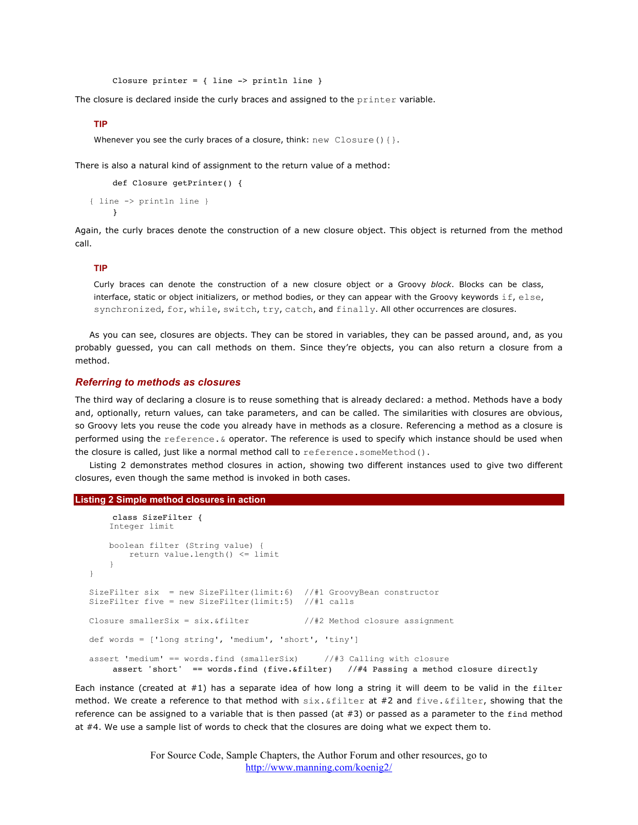Closure printer = { line -> println line }

The closure is declared inside the curly braces and assigned to the printer variable.

### **TIP**

Whenever you see the curly braces of a closure, think: new Closure ()  $\{\}$ .

There is also a natural kind of assignment to the return value of a method:

```
def Closure getPrinter() {
{ line -> println line }
     }
```
Again, the curly braces denote the construction of a new closure object. This object is returned from the method call.

#### **TIP**

Curly braces can denote the construction of a new closure object or a Groovy *block*. Blocks can be class, interface, static or object initializers, or method bodies, or they can appear with the Groovy keywords  $\text{if}, \text{else},$ synchronized, for, while, switch, try, catch, and finally. All other occurrences are closures.

As you can see, closures are objects. They can be stored in variables, they can be passed around, and, as you probably guessed, you can call methods on them. Since they're objects, you can also return a closure from a method.

### *Referring to methods as closures*

The third way of declaring a closure is to reuse something that is already declared: a method. Methods have a body and, optionally, return values, can take parameters, and can be called. The similarities with closures are obvious, so Groovy lets you reuse the code you already have in methods as a closure. Referencing a method as a closure is performed using the reference.& operator. The reference is used to specify which instance should be used when the closure is called, just like a normal method call to reference.someMethod().

Listing 2 demonstrates method closures in action, showing two different instances used to give two different closures, even though the same method is invoked in both cases.

#### **Listing 2 Simple method closures in action**

```
class SizeFilter {
     Integer limit
    boolean filter (String value) {
        return value.length() <= limit 
     } 
}
SizeFilter six = new SizeFilter(limit:6) //#1 GroovyBean constructor
SizeFilter five = new SizeFilter(limit:5) //#1 calls
Closure smallerSix = six. \&filter //#2 Method closure assignment
def words = ['long string', 'medium', 'short', 'tiny']
assert 'medium' == words.find (smallerSix) //#3 Calling with closure
    assert 'short' == words.find (five.&filter) //#4 Passing a method closure directly
```
Each instance (created at  $#1$ ) has a separate idea of how long a string it will deem to be valid in the filter method. We create a reference to that method with  $\sin x.$   $\sin x = x + 2$  and  $\sin x = \sin x + 2$  and  $\sin x = \sin x + 2$ reference can be assigned to a variable that is then passed (at  $#3$ ) or passed as a parameter to the find method at #4. We use a sample list of words to check that the closures are doing what we expect them to.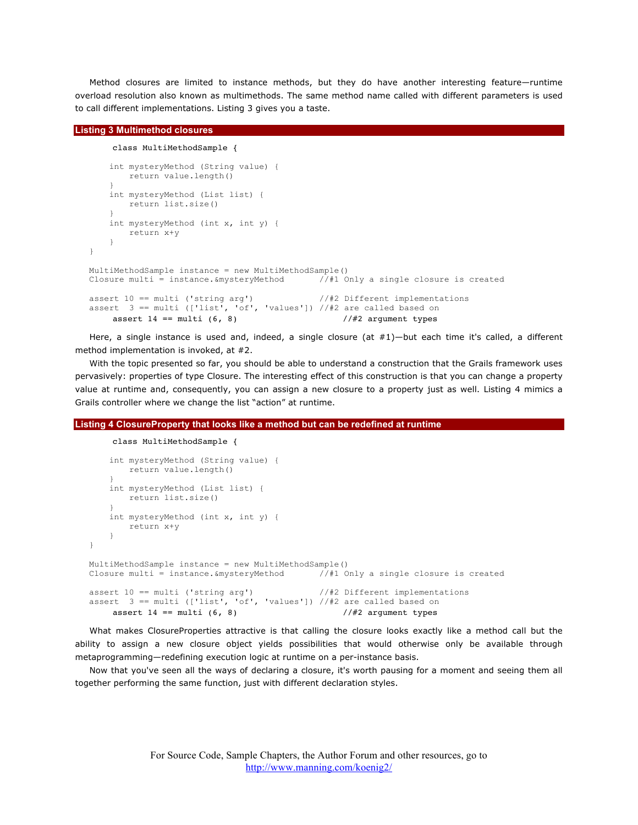Method closures are limited to instance methods, but they do have another interesting feature—runtime overload resolution also known as multimethods. The same method name called with different parameters is used to call different implementations. Listing 3 gives you a taste.

### **Listing 3 Multimethod closures**

```
class MultiMethodSample {
     int mysteryMethod (String value) {
         return value.length()
 }
     int mysteryMethod (List list) {
         return list.size()
 }
     int mysteryMethod (int x, int y) {
         return x+y
     }
}
MultiMethodSample instance = new MultiMethodSample()<br>Closure multi = instance. & mysteryMethod //#1 Only a single closure is created
Closure multi = instance. &mysteryMethod
assert 10 == multi ('string arg') //#2 Different implementations
assert 3 == multi (['list', 'of', 'values']) //#2 are called based on
     assert 14 == \text{multi} (6, 8) //#2 argument types
```
Here, a single instance is used and, indeed, a single closure (at #1)—but each time it's called, a different method implementation is invoked, at #2.

With the topic presented so far, you should be able to understand a construction that the Grails framework uses pervasively: properties of type Closure. The interesting effect of this construction is that you can change a property value at runtime and, consequently, you can assign a new closure to a property just as well. Listing 4 mimics a Grails controller where we change the list "action" at runtime.

### **Listing 4 ClosureProperty that looks like a method but can be redefined at runtime**

```
class MultiMethodSample {
     int mysteryMethod (String value) {
        return value.length()
 }
     int mysteryMethod (List list) {
        return list.size()
 }
     int mysteryMethod (int x, int y) {
        return x+y
     }
}
MultiMethodSample instance = new MultiMethodSample()
Closure multi = instance.&mysteryMethod //#1 Only a single closure is created
assert 10 == \text{multi} ('string \arg') //#2 Different implementations
assert 3 == multi (['list', 'of', 'values']) //#2 are called based on
    assert 14 == \text{multi} (6, 8) //#2 argument types
```
What makes ClosureProperties attractive is that calling the closure looks exactly like a method call but the ability to assign a new closure object yields possibilities that would otherwise only be available through metaprogramming—redefining execution logic at runtime on a per-instance basis.

Now that you've seen all the ways of declaring a closure, it's worth pausing for a moment and seeing them all together performing the same function, just with different declaration styles.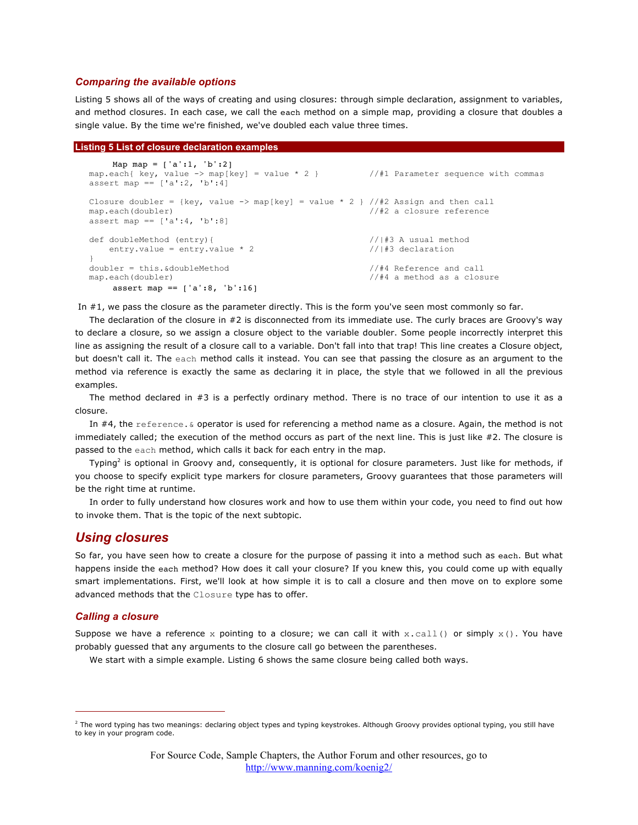### *Comparing the available options*

Listing 5 shows all of the ways of creating and using closures: through simple declaration, assignment to variables, and method closures. In each case, we call the each method on a simple map, providing a closure that doubles a single value. By the time we're finished, we've doubled each value three times.

### **Listing 5 List of closure declaration examples**

```
Map map = ['a':1, 'b':2]map.each{ key, value -> map[key] = value * 2 } //#1 Parameter sequence with commas
assert map == ['a':2, 'b':4]Closure doubler = {key, value -> map[key] = value * 2 } //#2 Assign and then call
map.each(doubler) //#2 a closure reference
assert map == ['a':4, 'b':8]def doubleMethod (entry){ //|#3 A usual method
   entry.value = entry.value * 2 //|#3 declaration
}
doubler = this.&doubleMethod \frac{1}{44} Reference and call map.each(doubler) \frac{1}{44} a method as a clos
                                                 //#4 a method as a closure
    assert map == ['a':8, 'b':16]
```
In #1, we pass the closure as the parameter directly. This is the form you've seen most commonly so far.

The declaration of the closure in #2 is disconnected from its immediate use. The curly braces are Groovy's way to declare a closure, so we assign a closure object to the variable doubler. Some people incorrectly interpret this line as assigning the result of a closure call to a variable. Don't fall into that trap! This line creates a Closure object, but doesn't call it. The each method calls it instead. You can see that passing the closure as an argument to the method via reference is exactly the same as declaring it in place, the style that we followed in all the previous examples.

The method declared in #3 is a perfectly ordinary method. There is no trace of our intention to use it as a closure.

In #4, the reference. & operator is used for referencing a method name as a closure. Again, the method is not immediately called; the execution of the method occurs as part of the next line. This is just like #2. The closure is passed to the each method, which calls it back for each entry in the map.

Typing<sup>2</sup> is optional in Groovy and, consequently, it is optional for closure parameters. Just like for methods, if you choose to specify explicit type markers for closure parameters, Groovy guarantees that those parameters will be the right time at runtime.

In order to fully understand how closures work and how to use them within your code, you need to find out how to invoke them. That is the topic of the next subtopic.

### *Using closures*

So far, you have seen how to create a closure for the purpose of passing it into a method such as each. But what happens inside the each method? How does it call your closure? If you knew this, you could come up with equally smart implementations. First, we'll look at how simple it is to call a closure and then move on to explore some advanced methods that the Closure type has to offer.

### *Calling a closure*

Suppose we have a reference x pointing to a closure; we can call it with x.call() or simply  $x()$ . You have probably guessed that any arguments to the closure call go between the parentheses.

We start with a simple example. Listing 6 shows the same closure being called both ways.

<sup>&</sup>lt;sup>2</sup> The word typing has two meanings: declaring object types and typing keystrokes. Although Groovy provides optional typing, you still have to key in your program code.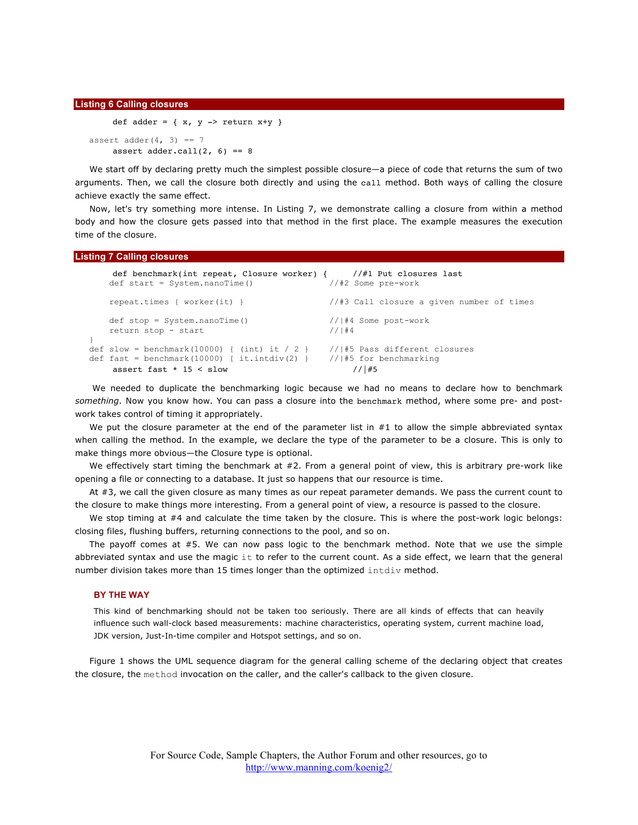#### **Listing 6 Calling closures**

```
def adder = \{ x, y \rightarrow return x+y \}assert adder(4, 3) == 7assert adder.call(2, 6) == 8
```
We start off by declaring pretty much the simplest possible closure—a piece of code that returns the sum of two arguments. Then, we call the closure both directly and using the call method. Both ways of calling the closure achieve exactly the same effect.

Now, let's try something more intense. In Listing 7, we demonstrate calling a closure from within a method body and how the closure gets passed into that method in the first place. The example measures the execution time of the closure.

### **Listing 7 Calling closures**

```
def benchmark(int repeat, Closure worker) { //#1 Put closures last<br>lef start = System.nanoTime() //#2 Some pre-work
   def start = System.name() repeat.times { worker(it) } //#3 Call closure a given number of times
    def stop = System.nanoTime() //|#4 Some post-work
   return stop - start //|#4}
def slow = benchmark(10000) { (int) it / 2 } // #5 Pass different closures
def fast = benchmark(10000) { it.intdiv(2) } //|#5 for benchmarking
    assert fast * 15 < slow \frac{1}{145}
```
 We needed to duplicate the benchmarking logic because we had no means to declare how to benchmark *something*. Now you know how. You can pass a closure into the benchmark method, where some pre- and postwork takes control of timing it appropriately.

We put the closure parameter at the end of the parameter list in  $#1$  to allow the simple abbreviated syntax when calling the method. In the example, we declare the type of the parameter to be a closure. This is only to make things more obvious—the Closure type is optional.

We effectively start timing the benchmark at #2. From a general point of view, this is arbitrary pre-work like opening a file or connecting to a database. It just so happens that our resource is time.

At #3, we call the given closure as many times as our repeat parameter demands. We pass the current count to the closure to make things more interesting. From a general point of view, a resource is passed to the closure.

We stop timing at #4 and calculate the time taken by the closure. This is where the post-work logic belongs: closing files, flushing buffers, returning connections to the pool, and so on.

The payoff comes at #5. We can now pass logic to the benchmark method. Note that we use the simple abbreviated syntax and use the magic it to refer to the current count. As a side effect, we learn that the general number division takes more than 15 times longer than the optimized intdiv method.

### **BY THE WAY**

This kind of benchmarking should not be taken too seriously. There are all kinds of effects that can heavily influence such wall-clock based measurements: machine characteristics, operating system, current machine load, JDK version, Just-In-time compiler and Hotspot settings, and so on.

Figure 1 shows the UML sequence diagram for the general calling scheme of the declaring object that creates the closure, the method invocation on the caller, and the caller's callback to the given closure.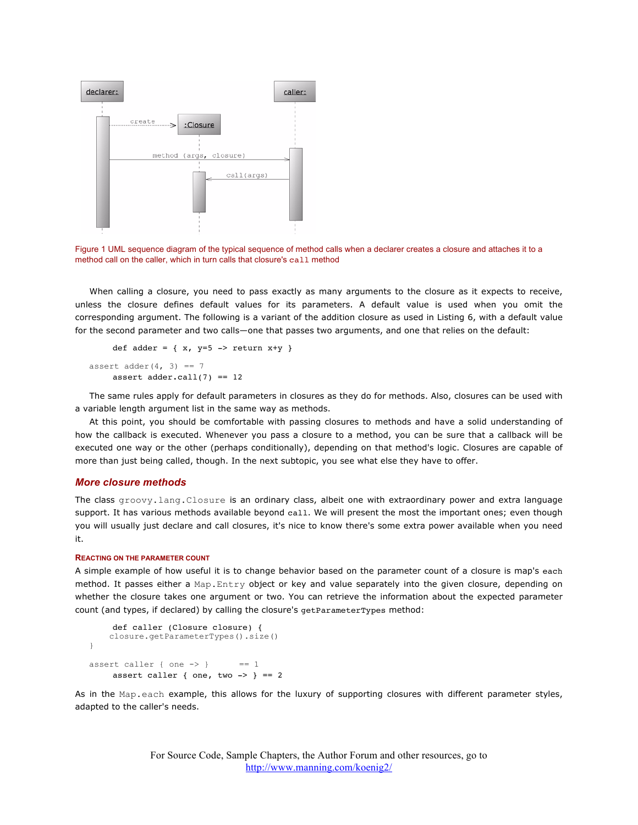

Figure 1 UML sequence diagram of the typical sequence of method calls when a declarer creates a closure and attaches it to a method call on the caller, which in turn calls that closure's call method

When calling a closure, you need to pass exactly as many arguments to the closure as it expects to receive, unless the closure defines default values for its parameters. A default value is used when you omit the corresponding argument. The following is a variant of the addition closure as used in Listing 6, with a default value for the second parameter and two calls—one that passes two arguments, and one that relies on the default:

```
def adder = \{ x, y=5 \rightarrow return x+y \}assert adder(4, 3) == 7assert adder.call(7) == 12
```
The same rules apply for default parameters in closures as they do for methods. Also, closures can be used with a variable length argument list in the same way as methods.

At this point, you should be comfortable with passing closures to methods and have a solid understanding of how the callback is executed. Whenever you pass a closure to a method, you can be sure that a callback will be executed one way or the other (perhaps conditionally), depending on that method's logic. Closures are capable of more than just being called, though. In the next subtopic, you see what else they have to offer.

### *More closure methods*

The class groovy.lang.Closure is an ordinary class, albeit one with extraordinary power and extra language support. It has various methods available beyond call. We will present the most the important ones; even though you will usually just declare and call closures, it's nice to know there's some extra power available when you need it.

### **REACTING ON THE PARAMETER COUNT**

A simple example of how useful it is to change behavior based on the parameter count of a closure is map's each method. It passes either a Map.Entry object or key and value separately into the given closure, depending on whether the closure takes one argument or two. You can retrieve the information about the expected parameter count (and types, if declared) by calling the closure's getParameterTypes method:

```
def caller (Closure closure) {
     closure.getParameterTypes().size()
}
assert caller { one \rightarrow } == 1
    assert caller { one, two -> } == 2
```
As in the Map.each example, this allows for the luxury of supporting closures with different parameter styles, adapted to the caller's needs.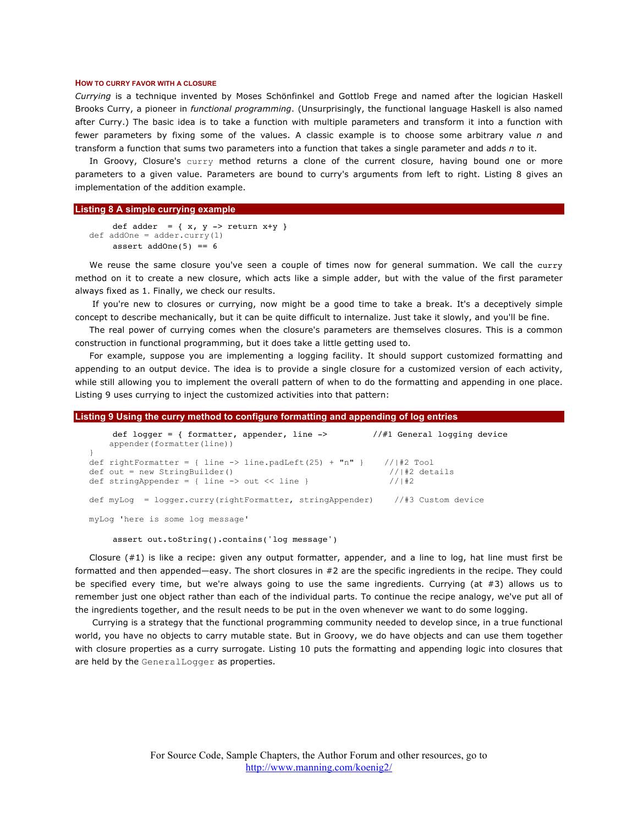#### **HOW TO CURRY FAVOR WITH A CLOSURE**

*Currying* is a technique invented by Moses Schönfinkel and Gottlob Frege and named after the logician Haskell Brooks Curry, a pioneer in *functional programming*. (Unsurprisingly, the functional language Haskell is also named after Curry.) The basic idea is to take a function with multiple parameters and transform it into a function with fewer parameters by fixing some of the values. A classic example is to choose some arbitrary value *n* and transform a function that sums two parameters into a function that takes a single parameter and adds *n* to it.

In Groovy, Closure's curry method returns a clone of the current closure, having bound one or more parameters to a given value. Parameters are bound to curry's arguments from left to right. Listing 8 gives an implementation of the addition example.

### **Listing 8 A simple currying example**

```
def adder = { x, y -> return x+y }
def addOne = adder.curry(1)
    assert addOne(5) == 6
```
We reuse the same closure you've seen a couple of times now for general summation. We call the curry method on it to create a new closure, which acts like a simple adder, but with the value of the first parameter always fixed as 1. Finally, we check our results.

 If you're new to closures or currying, now might be a good time to take a break. It's a deceptively simple concept to describe mechanically, but it can be quite difficult to internalize. Just take it slowly, and you'll be fine.

The real power of currying comes when the closure's parameters are themselves closures. This is a common construction in functional programming, but it does take a little getting used to.

For example, suppose you are implementing a logging facility. It should support customized formatting and appending to an output device. The idea is to provide a single closure for a customized version of each activity, while still allowing you to implement the overall pattern of when to do the formatting and appending in one place. Listing 9 uses currying to inject the customized activities into that pattern:

#### **Listing 9 Using the curry method to configure formatting and appending of log entries**

| def logger = { formatter, appender, line -><br>appender (formatter (line))                                                                                                 |  |                              | //#1 General logging device |
|----------------------------------------------------------------------------------------------------------------------------------------------------------------------------|--|------------------------------|-----------------------------|
| def rightFormatter = { line -> line.padLeft(25) + $\ln$ " } // #2 Tool<br>$def out = new StringBuilder()$<br>def stringAppender = { line $\rightarrow$ out $\lt\lt$ line } |  | $//$ #2 details<br>$1/1$ + 2 |                             |
| def $myLog = logger.curry (rightFormatter, stringAppender)$ //#3 Custom device                                                                                             |  |                              |                             |
| myLog 'here is some log message'                                                                                                                                           |  |                              |                             |

assert out.toString().contains('log message')

Closure  $(#1)$  is like a recipe: given any output formatter, appender, and a line to log, hat line must first be formatted and then appended—easy. The short closures in #2 are the specific ingredients in the recipe. They could be specified every time, but we're always going to use the same ingredients. Currying (at #3) allows us to remember just one object rather than each of the individual parts. To continue the recipe analogy, we've put all of the ingredients together, and the result needs to be put in the oven whenever we want to do some logging.

 Currying is a strategy that the functional programming community needed to develop since, in a true functional world, you have no objects to carry mutable state. But in Groovy, we do have objects and can use them together with closure properties as a curry surrogate. Listing 10 puts the formatting and appending logic into closures that are held by the GeneralLogger as properties.